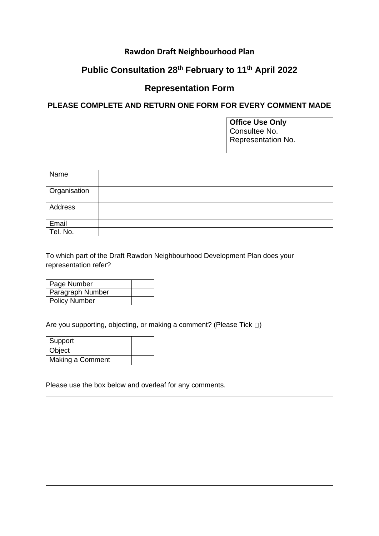## **Rawdon Draft Neighbourhood Plan**

## **Public Consultation 28th February to 11th April 2022**

## **Representation Form**

## **PLEASE COMPLETE AND RETURN ONE FORM FOR EVERY COMMENT MADE**

**Office Use Only** Consultee No. Representation No.

| Name         |  |
|--------------|--|
| Organisation |  |
| Address      |  |
| Email        |  |
| Tel. No.     |  |

To which part of the Draft Rawdon Neighbourhood Development Plan does your representation refer?

| Page Number          |  |
|----------------------|--|
| Paragraph Number     |  |
| <b>Policy Number</b> |  |

Are you supporting, objecting, or making a comment? (Please Tick  $\square$ )

| Support          |  |
|------------------|--|
| Object           |  |
| Making a Comment |  |

Please use the box below and overleaf for any comments.